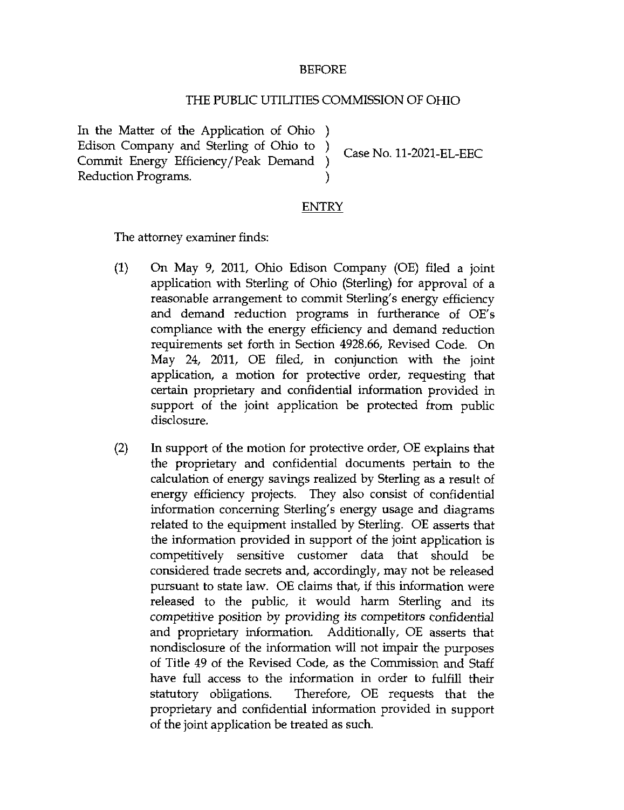## BEFORE

## THE PUBUC UTILITIES COMMISSION OF OHIO

In the Matter of the Application of Ohio ) Edison Company and Sterling of Ohio to ) Case No. 11-2021-EL-EEC Commit Energy Efficiency/Peak Demand ) Reduction Programs.

## ENTRY

The attorney examiner finds:

- (1) On May 9, 2011, Ohio Edison Company (OE) filed a joint application with Sterling of Ohio (Sterling) for approval of a reasonable arrangement to commit Sterling's energy efficiency and demand reduction programs in furtherance of OE's compliance with the energy efficiency and demand reduction requirements set forth in Section 4928.66, Revised Code. On May 24, 2011, OE filed, in conjunction with the joint application, a motion for protective order, requesting that certain proprietary and confidential information provided in support of the joint application be protected from public disclosure.
- $(2)$  hi support of the motion for protective order, OE explains that the proprietary and confidential documents pertain to the calculation of energy savings realized by Sterling as a result of energy efficiency projects. They also consist of confidential information concerning Sterling's energy usage and diagrams related to the equipment installed by Sterling. OE asserts that the information provided in support of the joint application is competitively sensitive customer data that should be considered trade secrets and, accordingly, may not be released pursuant to state law. OE claims that, if this information were released to the public, it would harm Sterling and its competitive position by providing its competitors confidential and proprietary information. Additionally, OE asserts that nondisclosure of the information will not impair the purposes of Title 49 of the Revised Code, as the Commission and Staff have full access to the information in order to fulfill their statutory obligations. Therefore, OE requests that the proprietary and confidential information provided in support of the joint application be treated as such.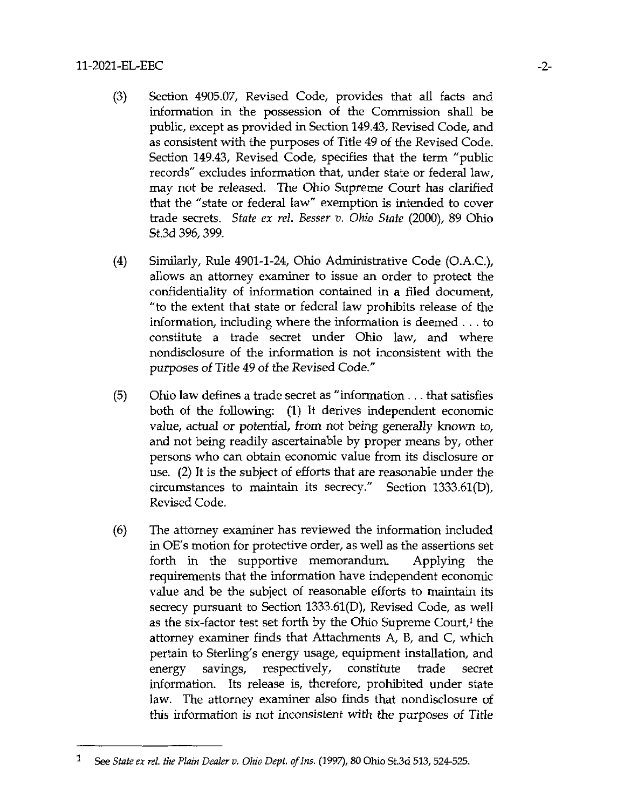## 11-2021-EL-EEC -2-

- (3) Section 4905.07, Revised Code, provides that all facts and information in the possession of the Commission shall be public, except as provided in Section 149.43, Revised Code, and as consistent with the purposes of Title 49 of the Revised Code. Section 149.43, Revised Code, specifies that the term "public records" excludes information that, under state or federal law, may not be released. The Ohio Supreme Court has clarified that the "state or federal law" exemption is intended to cover trade secrets. State ex rel. Besser v. Ohio State (2000), 89 Ohio St.3d 396,399.
- (4) Similarly, Rule 4901-1-24, Ohio Administrative Code (O.A.C), allows an attorney examiner to issue an order to protect the confidentiality of information contained in a filed document, "to the extent that state or federal law prohibits release of the information, including where the information is deemed .. . to constitute a trade secret under Ohio law, and where nondisclosure of the information is not inconsistent with the purposes of Titie 49 of the Revised Code."
- (5) Ohio law defines a trade secret as "information .. . that satisfies both of the following: (1) It derives independent economic value, actual or potential, from not being generally known to, and not being readily ascertainable by proper means by, other persons who can obtain economic value from its disclosure or use. (2) It is the subject of efforts that are reasonable under the circumstances to maintain its secrecy." Section  $1333.61(D)$ , Revised Code.
- (6) The attorney examiner has reviewed the information Included in OE's motion for protective order, as well as the assertions set forth in the supportive memorandum. Applying the requirements that the information have independent economic value and be the subject of reasonable efforts to maintain its secrecy pursuant to Section 1333.61(D), Revised Code, as well as the six-factor test set forth by the Ohio Supreme Court, $<sup>1</sup>$  the</sup> attorney examiner finds that Attachments A, B, and C, which pertain to Sterling's energy usage, equipment installation, and energy savings, respectively, constitute trade secret information. Its release is, therefore, prohibited under state law. The attorney examiner also finds that nondisclosure of this information is not inconsistent with the purposes of Title

 $\mathbf{1}$ See State ex rel. the Plain Dealer v. Ohio Dept. of Ins. (1997), SO Ohio St.3d 513, 524-525.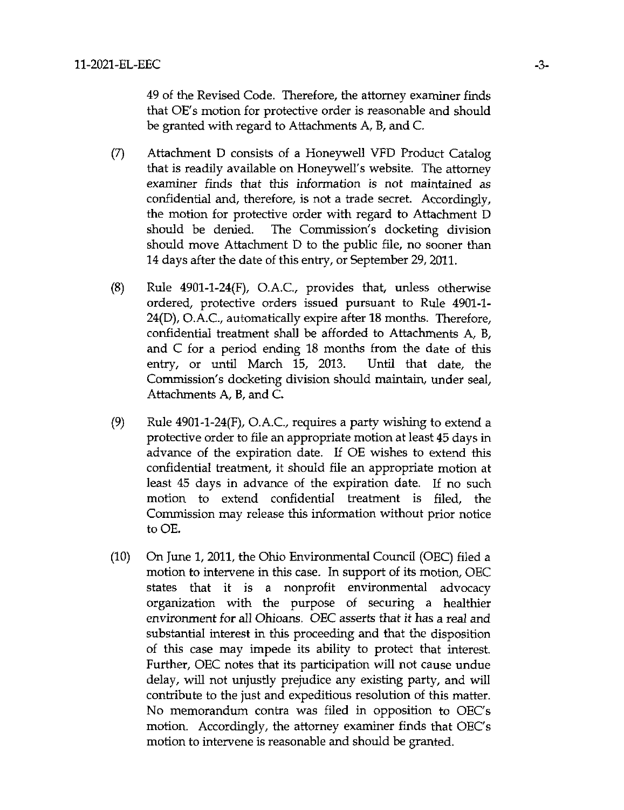49 of the Revised Code. Therefore, the attomey examiner finds that OE's motion for protective order is reasonable and should be granted with regard to Attachments A, B, and C.

- (7) Attachment D consists of a Honeywell VFD Product Catalog that is readily available on Honeywell's website. The attomey examiner finds that this information is not maintained as confidential and, therefore, is not a trade secret. Accordingly, the motion for protective order with regard to Attachment D should be denied. The Commission's docketing division should move Attachment D to the public file, no sooner than 14 days after the date of this entry, or September 29, 2011.
- $(8)$  Rule 4901-1-24 $(F)$ , O.A.C., provides that, unless otherwise ordered, protective orders issued pursuant to Rule 4901-1- 24(D), O.AC, automatically expire after 18 months. Therefore, confidential treatment shall be afforded to Attachments A, B, and  $C$  for a period ending 18 months from the date of this entry, or until March 15, 2013. Until that date, the Commission's docketing division should maintain, under seal. Attachments A, B, and C.
- (9) Rule  $4901-1-24(F)$ , O.A.C., requires a party wishing to extend a protective order to file an appropriate motion at least 45 days in advance of the expiration date. If OE wishes to extend this confidential treatment, it should file an appropriate motion at least 45 days in advance of the expiration date. If no such motion to extend confidential treatment is filed, the Commission may release this information without prior notice to OE.
- (10) On June 1, 2011, the Ohio Environmental Council (OEC) filed a motion to intervene in this case. In support of its motion, OEC states that it is a nonprofit environmental advocacy organization with the purpose of securing a healthier environment for all Ohioans. OEC asserts that it has a real and substantial interest in this proceeding and that the disposition of this case may impede its ability to protect that interest. Further, OEC notes that its participation will not cause undue delay, will not unjustly prejudice any existing party, and will contribute to the just and expeditious resolution of this matter. No memorandimi contra was filed in opposition to OEC's motion. Accordingly, the attorney examiner finds that OEC's motion to intervene is reasonable and should be granted.